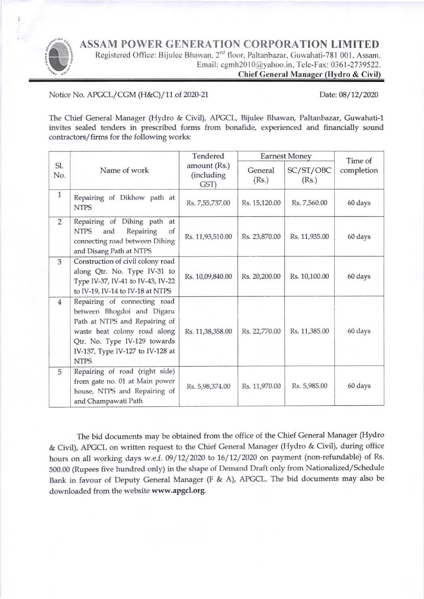ASSAM POWER GENERATION CORPORATION LIMITED



Registered Office: Bijulee Bhawan, 2<sup>nd</sup> floor, Paltanbazar, Guwahati-781 001, Assam. Email: cgmh2010@yahoo.in, Tele-Fax: 0361-2739522.

Chief General Manager (Hydro & Civil)

Notice No. APGCL/CGM (H&C)/11 of 2020-21 Date: 08/12/2020

The Chief General Manager (Hydro & Civil), APGCL, Bijulee Bhawan, Paltanbazar, Guwahati-1 invites sealed tenders in prescribed forms from bonafide, experienced and financially sound contractors/firms for the following works:

|                |                                                                                                                                                                                                                | Tendered                            | <b>Earnest Money</b> |                    | Time of    |
|----------------|----------------------------------------------------------------------------------------------------------------------------------------------------------------------------------------------------------------|-------------------------------------|----------------------|--------------------|------------|
| SI.<br>No.     | Name of work                                                                                                                                                                                                   | amount (Rs.)<br>(including)<br>GST) | General<br>(Rs.)     | SC/ST/OBC<br>(Rs.) | completion |
| $\mathbf{1}$   | Repairing of Dikhow path at<br><b>NTPS</b>                                                                                                                                                                     | Rs. 7,55,737.00                     | Rs. 15,120.00        | Rs. 7,560.00       | 60 days    |
| $\overline{2}$ | Repairing of Dihing path at<br>Repairing<br><b>NTPS</b><br>and<br>of<br>connecting road between Dihing<br>and Disang Path at NTPS                                                                              | Rs. 11,93,510.00                    | Rs. 23,870.00        | Rs. 11,935.00      | 60 days    |
| 3              | Construction of civil colony road<br>along Qtr. No. Type IV-31 to<br>Type IV-37, IV-41 to IV-43, IV-22<br>to IV-19, IV-14 to IV-18 at NTPS                                                                     | Rs. 10,09,840.00                    | Rs. 20,200.00        | Rs. 10,100.00      | 60 days    |
| $\overline{4}$ | Repairing of connecting road<br>between Bhogdoi and Digaru<br>Path at NTPS and Repairing of<br>waste heat colony road along<br>Qtr. No. Type IV-129 towards<br>IV-137, Type IV-127 to IV-128 at<br><b>NTPS</b> | Rs. 11,38,358.00                    | Rs. 22,770.00        | Rs. 11,385.00      | 60 days    |
| 5              | Repairing of road (right side)<br>from gate no. 01 at Main power<br>house, NTPS and Repairing of<br>and Champawati Path                                                                                        | Rs. 5,98,374.00                     | Rs. 11,970.00        | Rs. 5,985.00       | 60 days    |

The bid documents may be obtained from the office of the Chief General Manager (Hydro & Civil), APGCL on written request to the Chief General Manager (Hydro & Civil), during office hours on all working days w.e.f. 09/12/2020 to 16/12/2020 on payment (non-refundable) of Rs. 500.00 (Rupees five hundred only) in the shape of Demand Draft only from Nationalized/Schedule Bank in favour of Deputy General Manager (F & A), APGCL. The bid documents may also be downloaded from the website www.apgcl.org.